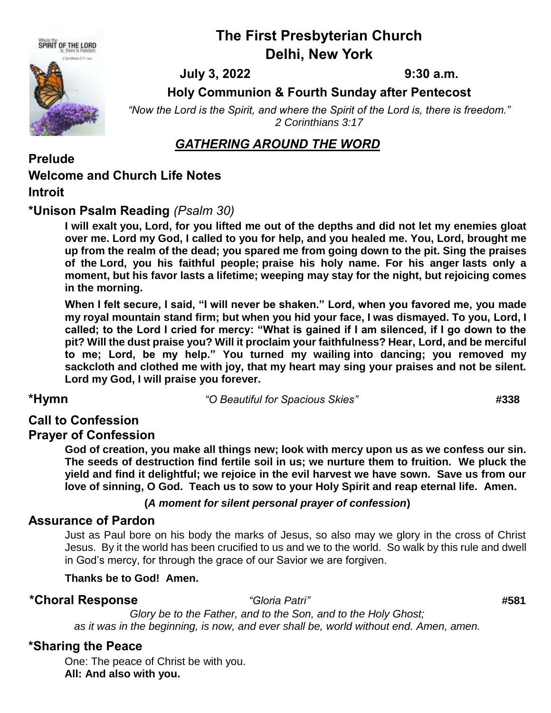SPIRIT OF THE LORD

# **The First Presbyterian ChurchDelhi, New York**

**July 3, 2022 9:30 a.m.**



**Holy Communion & Fourth Sunday after Pentecost**

*"Now the Lord is the Spirit, and where the Spirit of the Lord is, there is freedom." 2 Corinthians 3:17*

# *GATHERING AROUND THE WORD*

# **Prelude Welcome and Church Life Notes Introit**

# **\*Unison Psalm Reading** *(Psalm 30)*

**I will exalt you, Lord, for you lifted me out of the depths and did not let my enemies gloat over me. Lord my God, I called to you for help, and you healed me. You, Lord, brought me up from the realm of the dead; you spared me from going down to the pit. Sing the praises of the Lord, you his faithful people; praise his holy name. For his anger lasts only a moment, but his favor lasts a lifetime; weeping may stay for the night, but rejoicing comes in the morning.**

**When I felt secure, I said, "I will never be shaken." Lord, when you favored me, you made my royal mountain stand firm; but when you hid your face, I was dismayed. To you, Lord, I called; to the Lord I cried for mercy: "What is gained if I am silenced, if I go down to the pit? Will the dust praise you? Will it proclaim your faithfulness? Hear, Lord, and be merciful to me; Lord, be my help." You turned my wailing into dancing; you removed my sackcloth and clothed me with joy, that my heart may sing your praises and not be silent. Lord my God, I will praise you forever.**

**\*Hymn** *"O Beautiful for Spacious Skies"* **#338**

# **Call to Confession**

# **Prayer of Confession**

**God of creation, you make all things new; look with mercy upon us as we confess our sin. The seeds of destruction find fertile soil in us; we nurture them to fruition. We pluck the yield and find it delightful; we rejoice in the evil harvest we have sown. Save us from our love of sinning, O God. Teach us to sow to your Holy Spirit and reap eternal life. Amen.**

### **(***A moment for silent personal prayer of confession***)**

### **Assurance of Pardon**

Just as Paul bore on his body the marks of Jesus, so also may we glory in the cross of Christ Jesus. By it the world has been crucified to us and we to the world. So walk by this rule and dwell in God's mercy, for through the grace of our Savior we are forgiven.

### **Thanks be to God! Amen.**

# **\*Choral Response** *"Gloria Patri"* **#581**

*Glory be to the Father, and to the Son, and to the Holy Ghost; as it was in the beginning, is now, and ever shall be, world without end. Amen, amen.*

# **\*Sharing the Peace**

One: The peace of Christ be with you. **All: And also with you.**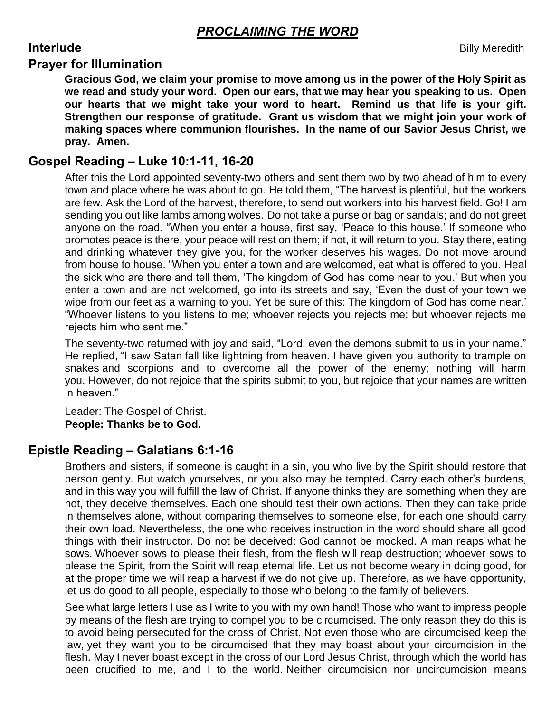### **Prayer for Illumination**

**Gracious God, we claim your promise to move among us in the power of the Holy Spirit as we read and study your word. Open our ears, that we may hear you speaking to us. Open our hearts that we might take your word to heart. Remind us that life is your gift. Strengthen our response of gratitude. Grant us wisdom that we might join your work of making spaces where communion flourishes. In the name of our Savior Jesus Christ, we pray. Amen.**

# **Gospel Reading – Luke 10:1-11, 16-20**

After this the Lord appointed seventy-two others and sent them two by two ahead of him to every town and place where he was about to go. He told them, "The harvest is plentiful, but the workers are few. Ask the Lord of the harvest, therefore, to send out workers into his harvest field. Go! I am sending you out like lambs among wolves. Do not take a purse or bag or sandals; and do not greet anyone on the road. "When you enter a house, first say, 'Peace to this house.' If someone who promotes peace is there, your peace will rest on them; if not, it will return to you. Stay there, eating and drinking whatever they give you, for the worker deserves his wages. Do not move around from house to house. "When you enter a town and are welcomed, eat what is offered to you. Heal the sick who are there and tell them, 'The kingdom of God has come near to you.' But when you enter a town and are not welcomed, go into its streets and say, 'Even the dust of your town we wipe from our feet as a warning to you. Yet be sure of this: The kingdom of God has come near.' "Whoever listens to you listens to me; whoever rejects you rejects me; but whoever rejects me rejects him who sent me."

The seventy-two returned with joy and said, "Lord, even the demons submit to us in your name." He replied, "I saw Satan fall like lightning from heaven. I have given you authority to trample on snakes and scorpions and to overcome all the power of the enemy; nothing will harm you. However, do not rejoice that the spirits submit to you, but rejoice that your names are written in heaven."

Leader: The Gospel of Christ. **People: Thanks be to God.**

# **Epistle Reading – Galatians 6:1-16**

Brothers and sisters, if someone is caught in a sin, you who live by the Spirit should restore that person gently. But watch yourselves, or you also may be tempted. Carry each other's burdens, and in this way you will fulfill the law of Christ. If anyone thinks they are something when they are not, they deceive themselves. Each one should test their own actions. Then they can take pride in themselves alone, without comparing themselves to someone else, for each one should carry their own load. Nevertheless, the one who receives instruction in the word should share all good things with their instructor. Do not be deceived: God cannot be mocked. A man reaps what he sows. Whoever sows to please their flesh, from the flesh will reap destruction; whoever sows to please the Spirit, from the Spirit will reap eternal life. Let us not become weary in doing good, for at the proper time we will reap a harvest if we do not give up. Therefore, as we have opportunity, let us do good to all people, especially to those who belong to the family of believers.

See what large letters I use as I write to you with my own hand! Those who want to impress people by means of the flesh are trying to compel you to be circumcised. The only reason they do this is to avoid being persecuted for the cross of Christ. Not even those who are circumcised keep the law, yet they want you to be circumcised that they may boast about your circumcision in the flesh. May I never boast except in the cross of our Lord Jesus Christ, through which the world has been crucified to me, and I to the world. Neither circumcision nor uncircumcision means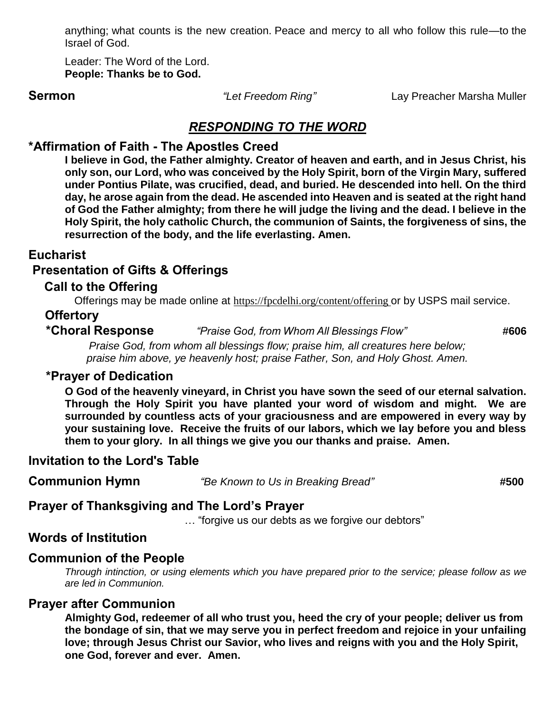anything; what counts is the new creation. Peace and mercy to all who follow this rule—to the Israel of God.

Leader: The Word of the Lord. **People: Thanks be to God.**

**Sermon** *"Let Freedom Ring"* Lay Preacher Marsha Muller

# *RESPONDING TO THE WORD*

### **\*Affirmation of Faith - The Apostles Creed**

**I believe in God, the Father almighty. Creator of heaven and earth, and in Jesus Christ, his only son, our Lord, who was conceived by the Holy Spirit, born of the Virgin Mary, suffered under Pontius Pilate, was crucified, dead, and buried. He descended into hell. On the third day, he arose again from the dead. He ascended into Heaven and is seated at the right hand of God the Father almighty; from there he will judge the living and the dead. I believe in the Holy Spirit, the holy catholic Church, the communion of Saints, the forgiveness of sins, the resurrection of the body, and the life everlasting. Amen.**

# **Eucharist**

# **Presentation of Gifts & Offerings**

# **Call to the Offering**

Offerings may be made online at <https://fpcdelhi.org/content/offering> or by USPS mail service.

# **Offertory**

# **\*Choral Response** *"Praise God, from Whom All Blessings Flow"* **#606**

*Praise God, from whom all blessings flow; praise him, all creatures here below; praise him above, ye heavenly host; praise Father, Son, and Holy Ghost. Amen.*

### **\*Prayer of Dedication**

**O God of the heavenly vineyard, in Christ you have sown the seed of our eternal salvation. Through the Holy Spirit you have planted your word of wisdom and might. We are surrounded by countless acts of your graciousness and are empowered in every way by your sustaining love. Receive the fruits of our labors, which we lay before you and bless them to your glory. In all things we give you our thanks and praise. Amen.**

### **Invitation to the Lord's Table**

**Communion Hymn** *"Be Known to Us in Breaking Bread"* **#500**

# **Prayer of Thanksgiving and The Lord's Prayer**

… "forgive us our debts as we forgive our debtors"

### **Words of Institution**

### **Communion of the People**

*Through intinction, or using elements which you have prepared prior to the service; please follow as we are led in Communion.*

### **Prayer after Communion**

**Almighty God, redeemer of all who trust you, heed the cry of your people; deliver us from the bondage of sin, that we may serve you in perfect freedom and rejoice in your unfailing love; through Jesus Christ our Savior, who lives and reigns with you and the Holy Spirit, one God, forever and ever. Amen.**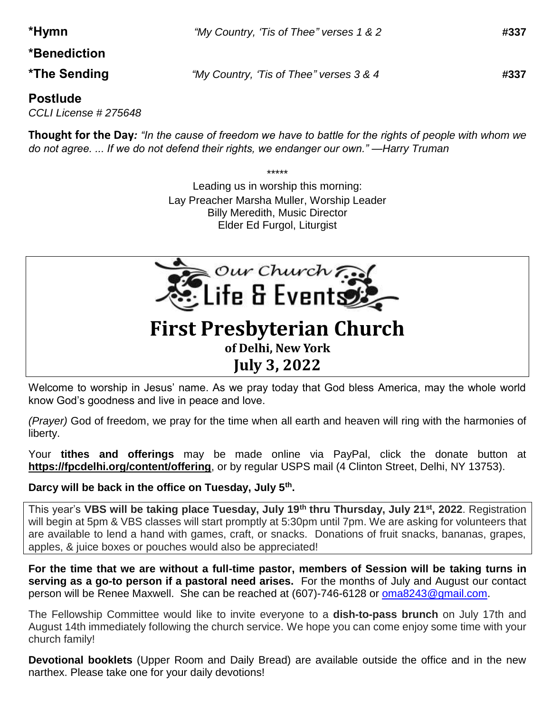**\*Benediction**

**\*The Sending** *"My Country, 'Tis of Thee" verses 3 & 4* **#337**

**Postlude**

*CCLI License # 275648*

**Thought for the Day***: "In the cause of freedom we have to battle for the rights of people with whom we do not agree. ... If we do not defend their rights, we endanger our own." —Harry Truman*

\*\*\*\*\*

Leading us in worship this morning: Lay Preacher Marsha Muller, Worship Leader Billy Meredith, Music Director Elder Ed Furgol, Liturgist



Welcome to worship in Jesus' name. As we pray today that God bless America, may the whole world know God's goodness and live in peace and love.

*(Prayer)* God of freedom, we pray for the time when all earth and heaven will ring with the harmonies of liberty.

Your **tithes and offerings** may be made online via PayPal, click the donate button at **<https://fpcdelhi.org/content/offering>**, or by regular USPS mail (4 Clinton Street, Delhi, NY 13753).

**Darcy will be back in the office on Tuesday, July 5th .**

This year's **VBS will be taking place Tuesday, July 19th thru Thursday, July 21st, 2022**. Registration will begin at 5pm & VBS classes will start promptly at 5:30pm until 7pm. We are asking for volunteers that are available to lend a hand with games, craft, or snacks. Donations of fruit snacks, bananas, grapes, apples, & juice boxes or pouches would also be appreciated!

**For the time that we are without a full-time pastor, members of Session will be taking turns in serving as a go-to person if a pastoral need arises.** For the months of July and August our contact person will be Renee Maxwell. She can be reached at (607)-746-6128 or **oma8243@gmail.com**.

The Fellowship Committee would like to invite everyone to a **dish-to-pass brunch** on July 17th and August 14th immediately following the church service. We hope you can come enjoy some time with your church family!

**Devotional booklets** (Upper Room and Daily Bread) are available outside the office and in the new narthex. Please take one for your daily devotions!